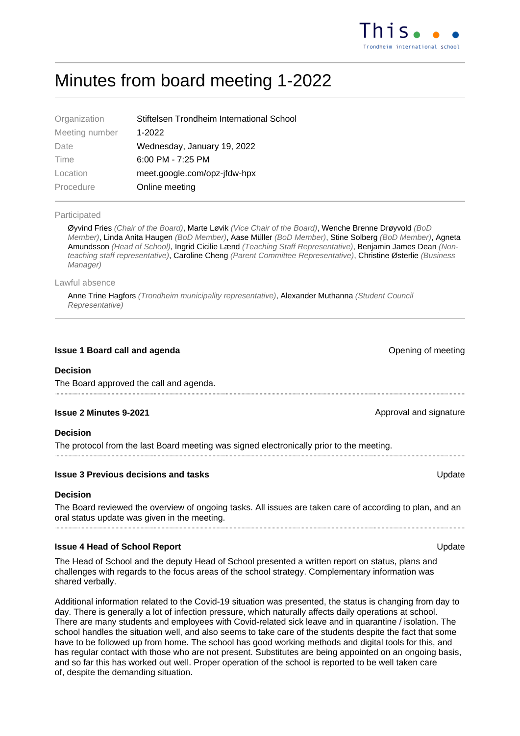# Minutes from board meeting 1-2022

| Stiftelsen Trondheim International School |
|-------------------------------------------|
| 1-2022                                    |
| Wednesday, January 19, 2022               |
| $6:00$ PM - 7:25 PM                       |
| meet.google.com/opz-jfdw-hpx              |
| Online meeting                            |
|                                           |

#### Participated

Øyvind Fries (Chair of the Board), Marte Løvik (Vice Chair of the Board), Wenche Brenne Drøyvold (BoD Member), Linda Anita Haugen (BoD Member), Aase Müller (BoD Member), Stine Solberg (BoD Member), Agneta Amundsson (Head of School), Ingrid Cicilie Lænd (Teaching Staff Representative), Benjamin James Dean (Nonteaching staff representative), Caroline Cheng (Parent Committee Representative), Christine Østerlie (Business Manager)

#### Lawful absence

Anne Trine Hagfors (Trondheim municipality representative), Alexander Muthanna (Student Council Representative)

#### **Issue 1 Board call and agenda Contract Contract Contract Contract Contract Contract Contract Contract Contract Contract Contract Contract Contract Contract Contract Contract Contract Contract Contract Contract Contract**

#### **Decision**

The Board approved the call and agenda.

#### **Issue 2 Minutes 9-2021 Approval and signature Approval and signature Approval and signature**

#### **Decision**

The protocol from the last Board meeting was signed electronically prior to the meeting.

#### **Issue 3 Previous decisions and tasks** Update

#### **Decision**

The Board reviewed the overview of ongoing tasks. All issues are taken care of according to plan, and an oral status update was given in the meeting.

#### **Issue 4 Head of School Report Contract Contract Contract Contract Contract Contract Contract Contract Contract Contract Contract Contract Contract Contract Contract Contract Contract Contract Contract Contract Contract**

The Head of School and the deputy Head of School presented a written report on status, plans and challenges with regards to the focus areas of the school strategy. Complementary information was shared verbally.

Additional information related to the Covid-19 situation was presented, the status is changing from day to day. There is generally a lot of infection pressure, which naturally affects daily operations at school. There are many students and employees with Covid-related sick leave and in quarantine / isolation. The school handles the situation well, and also seems to take care of the students despite the fact that some have to be followed up from home. The school has good working methods and digital tools for this, and has regular contact with those who are not present. Substitutes are being appointed on an ongoing basis, and so far this has worked out well. Proper operation of the school is reported to be well taken care of, despite the demanding situation.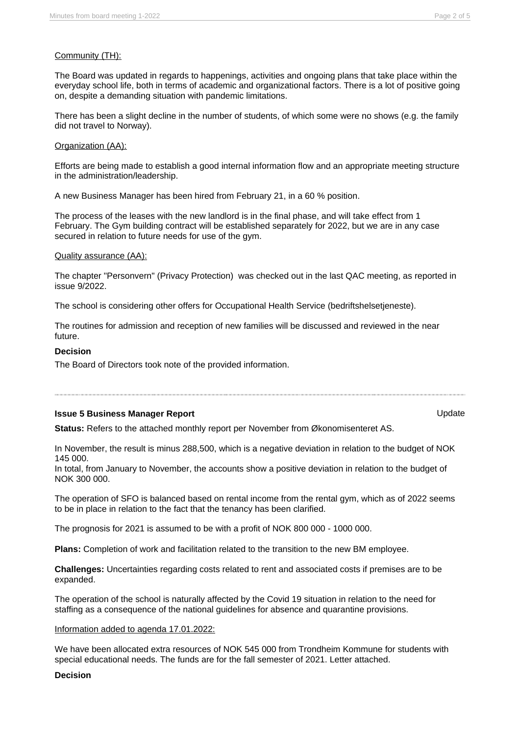# Community (TH):

The Board was updated in regards to happenings, activities and ongoing plans that take place within the everyday school life, both in terms of academic and organizational factors. There is a lot of positive going on, despite a demanding situation with pandemic limitations.

There has been a slight decline in the number of students, of which some were no shows (e.g. the family did not travel to Norway).

# Organization (AA):

Efforts are being made to establish a good internal information flow and an appropriate meeting structure in the administration/leadership.

A new Business Manager has been hired from February 21, in a 60 % position.

The process of the leases with the new landlord is in the final phase, and will take effect from 1 February. The Gym building contract will be established separately for 2022, but we are in any case secured in relation to future needs for use of the gym.

# Quality assurance (AA):

The chapter "Personvern" (Privacy Protection) was checked out in the last QAC meeting, as reported in issue 9/2022.

The school is considering other offers for Occupational Health Service (bedriftshelsetjeneste).

The routines for admission and reception of new families will be discussed and reviewed in the near future.

### **Decision**

The Board of Directors took note of the provided information.

## **Issue 5 Business Manager Report Contract Contract Contract Contract Contract Contract Contract Contract Contract Contract Contract Contract Contract Contract Contract Contract Contract Contract Contract Contract Contrac**

**Status:** Refers to the attached monthly report per November from Økonomisenteret AS.

In November, the result is minus 288,500, which is a negative deviation in relation to the budget of NOK 145 000.

In total, from January to November, the accounts show a positive deviation in relation to the budget of NOK 300 000.

The operation of SFO is balanced based on rental income from the rental gym, which as of 2022 seems to be in place in relation to the fact that the tenancy has been clarified.

The prognosis for 2021 is assumed to be with a profit of NOK 800 000 - 1000 000.

**Plans:** Completion of work and facilitation related to the transition to the new BM employee.

**Challenges:** Uncertainties regarding costs related to rent and associated costs if premises are to be expanded.

The operation of the school is naturally affected by the Covid 19 situation in relation to the need for staffing as a consequence of the national guidelines for absence and quarantine provisions.

#### Information added to agenda 17.01.2022:

We have been allocated extra resources of NOK 545 000 from Trondheim Kommune for students with special educational needs. The funds are for the fall semester of 2021. Letter attached.

#### **Decision**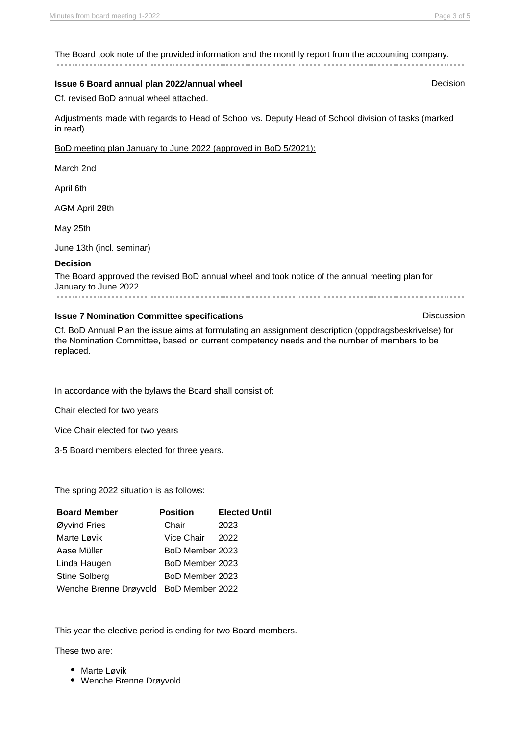The Board took note of the provided information and the monthly report from the accounting company.

### **Issue 6 Board annual plan 2022/annual wheel Decision Decision**

Cf. revised BoD annual wheel attached.

Adjustments made with regards to Head of School vs. Deputy Head of School division of tasks (marked in read).

BoD meeting plan January to June 2022 (approved in BoD 5/2021):

March 2nd

April 6th

AGM April 28th

May 25th

June 13th (incl. seminar)

### **Decision**

The Board approved the revised BoD annual wheel and took notice of the annual meeting plan for January to June 2022.

### **Issue 7 Nomination Committee specifications Discussion Discussion**

Cf. BoD Annual Plan the issue aims at formulating an assignment description (oppdragsbeskrivelse) for the Nomination Committee, based on current competency needs and the number of members to be replaced.

In accordance with the bylaws the Board shall consist of:

Chair elected for two years

Vice Chair elected for two years

3-5 Board members elected for three years.

The spring 2022 situation is as follows:

| <b>Board Member</b>                    | <b>Position</b> | <b>Elected Until</b> |
|----------------------------------------|-----------------|----------------------|
| Øyvind Fries                           | Chair           | 2023                 |
| Marte Løvik                            | Vice Chair      | 2022                 |
| Aase Müller                            | BoD Member 2023 |                      |
| Linda Haugen                           | BoD Member 2023 |                      |
| <b>Stine Solberg</b>                   | BoD Member 2023 |                      |
| Wenche Brenne Drøyvold BoD Member 2022 |                 |                      |

This year the elective period is ending for two Board members.

These two are:

- Marte Løvik
- Wenche Brenne Drøyvold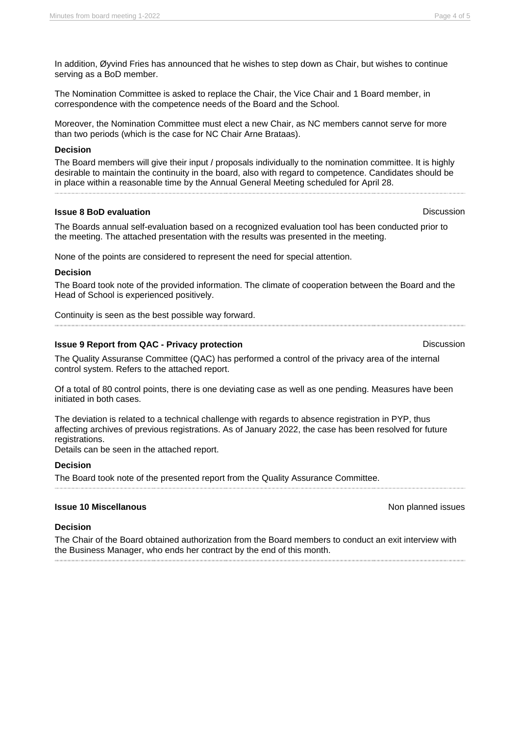In addition, Øyvind Fries has announced that he wishes to step down as Chair, but wishes to continue serving as a BoD member.

The Nomination Committee is asked to replace the Chair, the Vice Chair and 1 Board member, in correspondence with the competence needs of the Board and the School.

Moreover, the Nomination Committee must elect a new Chair, as NC members cannot serve for more than two periods (which is the case for NC Chair Arne Brataas).

#### **Decision**

The Board members will give their input / proposals individually to the nomination committee. It is highly desirable to maintain the continuity in the board, also with regard to competence. Candidates should be in place within a reasonable time by the Annual General Meeting scheduled for April 28.

### **Issue 8 BoD evaluation Discussion**

The Boards annual self-evaluation based on a recognized evaluation tool has been conducted prior to the meeting. The attached presentation with the results was presented in the meeting.

None of the points are considered to represent the need for special attention.

### **Decision**

The Board took note of the provided information. The climate of cooperation between the Board and the Head of School is experienced positively.

Continuity is seen as the best possible way forward.

### **Issue 9 Report from QAC - Privacy protection** Discussion Discussion

The Quality Assuranse Committee (QAC) has performed a control of the privacy area of the internal control system. Refers to the attached report.

Of a total of 80 control points, there is one deviating case as well as one pending. Measures have been initiated in both cases.

The deviation is related to a technical challenge with regards to absence registration in PYP, thus affecting archives of previous registrations. As of January 2022, the case has been resolved for future registrations.

Details can be seen in the attached report.

#### **Decision**

The Board took note of the presented report from the Quality Assurance Committee.

#### **Issue 10 Miscellanous** Non planned issues

#### **Decision**

The Chair of the Board obtained authorization from the Board members to conduct an exit interview with the Business Manager, who ends her contract by the end of this month.